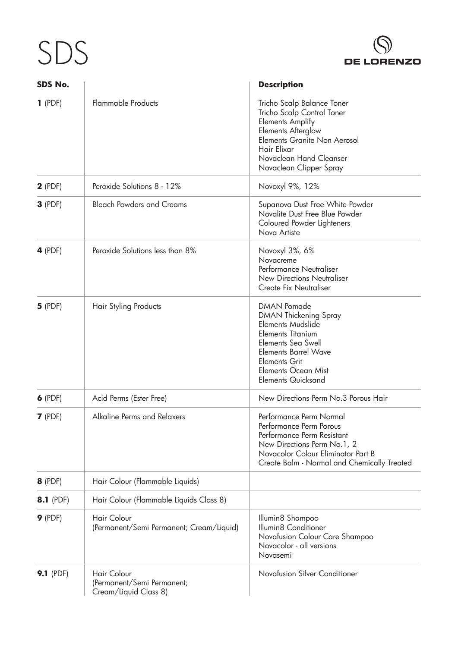## SDS



| SDS No.          |                                                                    | <b>Description</b>                                                                                                                                                                                                                          |
|------------------|--------------------------------------------------------------------|---------------------------------------------------------------------------------------------------------------------------------------------------------------------------------------------------------------------------------------------|
| $1$ (PDF)        | <b>Flammable Products</b>                                          | Tricho Scalp Balance Toner<br>Tricho Scalp Control Toner<br><b>Elements Amplify</b><br><b>Elements Afterglow</b><br>Elements Granite Non Aerosol<br>Hair Elixar<br>Novaclean Hand Cleanser<br>Novaclean Clipper Spray                       |
| $2$ (PDF)        | Peroxide Solutions 8 - 12%                                         | Novoxyl 9%, 12%                                                                                                                                                                                                                             |
| $3$ (PDF)        | <b>Bleach Powders and Creams</b>                                   | Supanova Dust Free White Powder<br>Novalite Dust Free Blue Powder<br>Coloured Powder Lighteners<br>Nova Artiste                                                                                                                             |
| $4$ (PDF)        | Peroxide Solutions less than 8%                                    | Novoxyl 3%, 6%<br>Novacreme<br>Performance Neutraliser<br><b>New Directions Neutraliser</b><br><b>Create Fix Neutraliser</b>                                                                                                                |
| $5$ (PDF)        | Hair Styling Products                                              | <b>DMAN Pomade</b><br>DMAN Thickening Spray<br><b>Elements Mudslide</b><br><b>Elements Titanium</b><br>Elements Sea Swell<br><b>Elements Barrel Wave</b><br><b>Elements Grit</b><br><b>Elements Ocean Mist</b><br><b>Elements Quicksand</b> |
| $6$ (PDF)        | Acid Perms (Ester Free)                                            | New Directions Perm No.3 Porous Hair                                                                                                                                                                                                        |
| $7$ (PDF)        | Alkaline Perms and Relaxers                                        | Performance Perm Normal<br>Performance Perm Porous<br>Performance Perm Resistant<br>New Directions Perm No.1, 2<br>Novacolor Colour Eliminator Part B<br>Create Balm - Normal and Chemically Treated                                        |
| <b>8</b> (PDF)   | Hair Colour (Flammable Liquids)                                    |                                                                                                                                                                                                                                             |
| <b>8.1</b> (PDF) | Hair Colour (Flammable Liquids Class 8)                            |                                                                                                                                                                                                                                             |
| $9$ (PDF)        | <b>Hair Colour</b><br>(Permanent/Semi Permanent; Cream/Liquid)     | Illumin8 Shampoo<br>Illumin8 Conditioner<br>Novafusion Colour Care Shampoo<br>Novacolor - all versions<br>Novasemi                                                                                                                          |
| <b>9.1</b> (PDF) | Hair Colour<br>(Permanent/Semi Permanent;<br>Cream/Liquid Class 8) | Novafusion Silver Conditioner                                                                                                                                                                                                               |